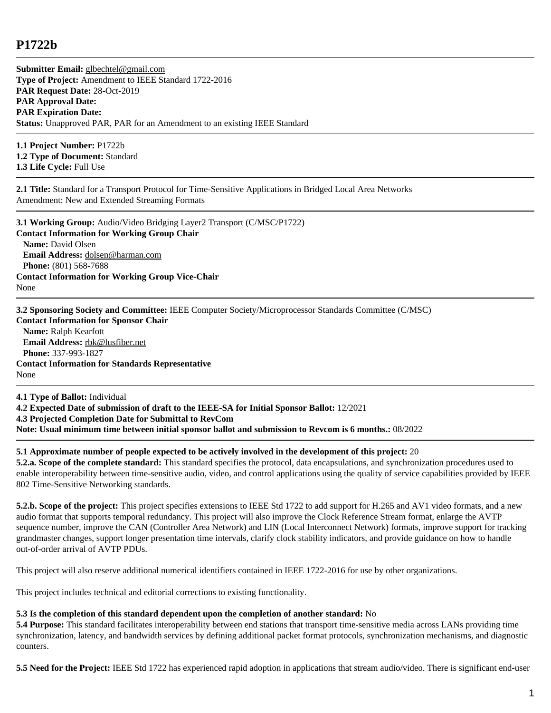## **P1722b**

**Submitter Email:** [glbechtel@gmail.com](mailto:glbechtel%40gmail.com) **Type of Project:** Amendment to IEEE Standard 1722-2016 **PAR Request Date:** 28-Oct-2019 **PAR Approval Date: PAR Expiration Date: Status:** Unapproved PAR, PAR for an Amendment to an existing IEEE Standard

**1.1 Project Number:** P1722b **1.2 Type of Document:** Standard **1.3 Life Cycle:** Full Use

**2.1 Title:** Standard for a Transport Protocol for Time-Sensitive Applications in Bridged Local Area Networks Amendment: New and Extended Streaming Formats

**3.1 Working Group:** Audio/Video Bridging Layer2 Transport (C/MSC/P1722) **Contact Information for Working Group Chair Name:** David Olsen **Email Address:** [dolsen@harman.com](mailto:dolsen%40harman.com) **Phone:** (801) 568-7688 **Contact Information for Working Group Vice-Chair** None

**3.2 Sponsoring Society and Committee:** IEEE Computer Society/Microprocessor Standards Committee (C/MSC) **Contact Information for Sponsor Chair Name:** Ralph Kearfott **Email Address:** [rbk@lusfiber.net](mailto:rbk%40lusfiber.net) **Phone:** 337-993-1827 **Contact Information for Standards Representative** None

**4.1 Type of Ballot:** Individual **4.2 Expected Date of submission of draft to the IEEE-SA for Initial Sponsor Ballot:** 12/2021 **4.3 Projected Completion Date for Submittal to RevCom Note: Usual minimum time between initial sponsor ballot and submission to Revcom is 6 months.:** 08/2022

## **5.1 Approximate number of people expected to be actively involved in the development of this project:** 20

**5.2.a. Scope of the complete standard:** This standard specifies the protocol, data encapsulations, and synchronization procedures used to enable interoperability between time-sensitive audio, video, and control applications using the quality of service capabilities provided by IEEE 802 Time-Sensitive Networking standards.

**5.2.b. Scope of the project:** This project specifies extensions to IEEE Std 1722 to add support for H.265 and AV1 video formats, and a new audio format that supports temporal redundancy. This project will also improve the Clock Reference Stream format, enlarge the AVTP sequence number, improve the CAN (Controller Area Network) and LIN (Local Interconnect Network) formats, improve support for tracking grandmaster changes, support longer presentation time intervals, clarify clock stability indicators, and provide guidance on how to handle out-of-order arrival of AVTP PDUs.

This project will also reserve additional numerical identifiers contained in IEEE 1722-2016 for use by other organizations.

This project includes technical and editorial corrections to existing functionality.

## **5.3 Is the completion of this standard dependent upon the completion of another standard:** No

**5.4 Purpose:** This standard facilitates interoperability between end stations that transport time-sensitive media across LANs providing time synchronization, latency, and bandwidth services by defining additional packet format protocols, synchronization mechanisms, and diagnostic counters.

**5.5 Need for the Project:** IEEE Std 1722 has experienced rapid adoption in applications that stream audio/video. There is significant end-user